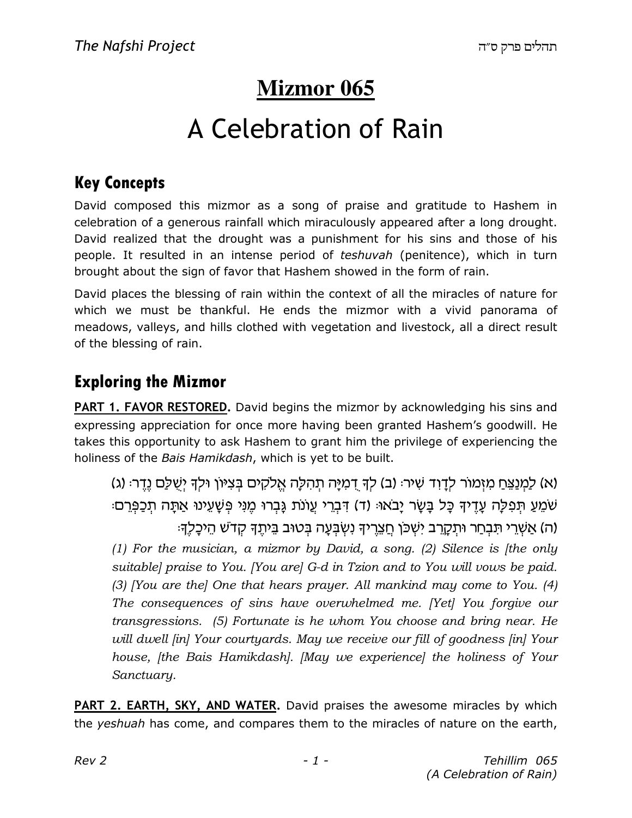# **Mizmor 065**

# A Celebration of Rain

### Key Concepts

David composed this mizmor as a song of praise and gratitude to Hashem in celebration of a generous rainfall which miraculously appeared after a long drought. David realized that the drought was a punishment for his sins and those of his people. It resulted in an intense period of teshuvah (penitence), which in turn brought about the sign of favor that Hashem showed in the form of rain.

David places the blessing of rain within the context of all the miracles of nature for which we must be thankful. He ends the mizmor with a vivid panorama of meadows, valleys, and hills clothed with vegetation and livestock, all a direct result of the blessing of rain.

### Exploring the Mizmor

**PART 1. FAVOR RESTORED.** David begins the mizmor by acknowledging his sins and expressing appreciation for once more having been granted Hashem's goodwill. He takes this opportunity to ask Hashem to grant him the privilege of experiencing the holiness of the Bais Hamikdash, which is yet to be built.

(א) לַמְנַצֵּחַ מִזְמוֹר לְדָוָד שָׁיר: (ב) לִךְ דְמִיַּה תְהָלָה אֱלֹקִים בִּצְיּוֹן וּלִךְ יְשָׁלַַם נֵדֵר: (ג) ּשֹׁמֵעַ תִּפְלַה עֲדֵיךָ כֵּל בַּשֶׂר יַבֹאוּּ (ד) דְּבָרִי עֲוֹנֹת גַּבְרוּ מֵנִי פְּשַׁעֲינוּ אַתַּה תַכַפְּרִם ה) אֲשֶׁרֵי תִּבְחַר וּתִקַרֵּב יִשְׁכֹּן חֲצֶרֵיךָ נְשָׂבְעַה בְּטוּב בֵּיתֵךְ קָדֹשׁ הֵיכַלֶךָ: (1) For the musician, a mizmor by David, a song. (2) Silence is (the only suitable] praise to You. [You are] G-d in Tzion and to You will vows be paid. (3) [You are the] One that hears prayer. All mankind may come to You.  $(4)$ The consequences of sins have overwhelmed me. [Yet] You forgive our transgressions. (5) Fortunate is he whom You choose and bring near. He will dwell *[in]* Your courtyards. May we receive our fill of goodness *[in]* Your house, [the Bais Hamikdash]. [May we experience] the holiness of Your Sanctuary.

PART 2. EARTH, SKY, AND WATER. David praises the awesome miracles by which the yeshuah has come, and compares them to the miracles of nature on the earth,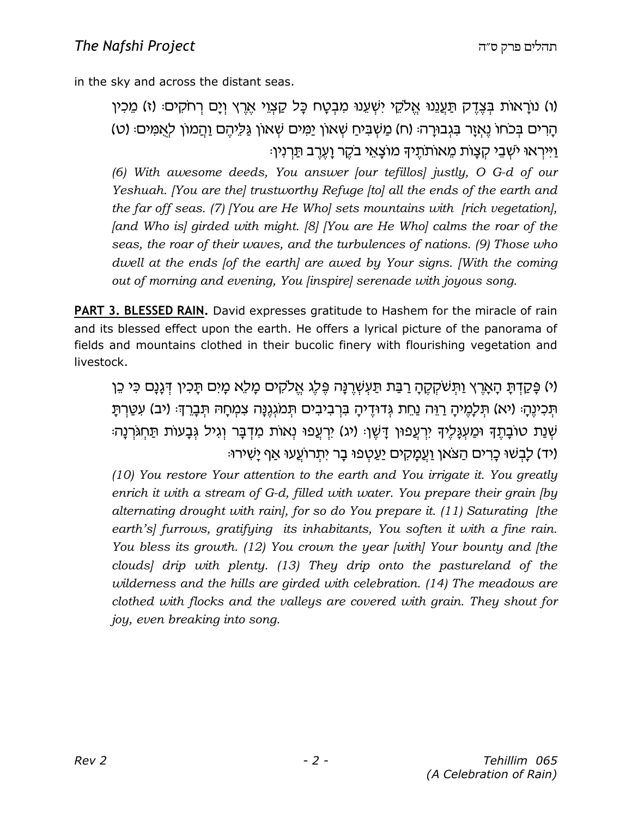in the sky and across the distant seas.

ו) נוראות בִּצֶדֶק תַּעֲנֶנוּ אֱלֹקֶי יִשְׁעֵנוּ מִבְטַח כַּל קַצְוֵי אֶרֶץ וְיַם רְחֹקִים: (ז) מֵכְין ( הַרִים בְּכֹחוֹ נֵאְזַר בְּגְבוּרַה: (ח) מַשְׁבִּיחַ שָׁאוֹן יַמִּים שָׁאוֹן גַּלֵּיהֶם וַהֲמוֹן לְאֲמִים: (ט) וַיִּיראוּ ישׁבֵי קצות מֵאוֹתֹתֵיךְ מוֹצָאֵי בֹקָר וַעֲרָב תַּרְנִין.

(6) With awesome deeds, You answer [our tefillos] justly, O G-d of our Yeshuah. [You are the] trustworthy Refuge [to] all the ends of the earth and the far off seas. (7) [You are He Who] sets mountains with [rich vegetation],  $[and Who is] girded with might. [8] [You are He Who] calls the roar of the$ seas, the roar of their waves, and the turbulences of nations. (9) Those who dwell at the ends [of the earth] are awed by Your signs. [With the coming out of morning and evening, You [inspire] serenade with joyous song.

PART 3. BLESSED RAIN. David expresses gratitude to Hashem for the miracle of rain and its blessed effect upon the earth. He offers a lyrical picture of the panorama of fields and mountains clothed in their bucolic finery with flourishing vegetation and livestock.

ו/ פַּקַדְתַּ הַאֲרֶץ וַתְּשֹׁקִקֶהָ רַבָּת תַּעִשְׁרֵנַּה פֶּלֶג אֱלֹקִים מַלֵּא מַיִם תַּכְין דְּגַנַם כִּי כֵן ּתְּכִיוֶהָ: (יא) תִּלָמֵיהָ רַוֶּה נַחֵת גִּדוּדֵיהָ בִּרְבִיבִים תִּמֹגְגֶנָה צִמְחָהּ תִּבָרֶךְ: (יב) עִטַּרְתַ ּשָׁנַת טוֹבַתֵךְ וּמַעְגַּלֵיךְ יִרְעֵפוּו דַּשָׁוּ (יג) יִרְעֵפוּ נְאוֹת מִדְבַּר וְגִיל גְּבַעוֹת תַּחְגֹּרְנַה יד) לַבְשׁוּ כָרִים הַצֹּאן וַעֲמָקִים יַעַטְפוּ בָר יִתְרוֹעֵעוּ אַף יַשִׁירוּ:

(10) You restore Your attention to the earth and You irrigate it. You greatly enrich it with a stream of G-d, filled with water. You prepare their grain [by alternating drought with rain], for so do You prepare it. (11) Saturating [the earth's] furrows, gratifying its inhabitants, You soften it with a fine rain. You bless its growth. (12) You crown the year [with] Your bounty and [the clouds] drip with plenty. (13) They drip onto the pastureland of the wilderness and the hills are girded with celebration. (14) The meadows are clothed with flocks and the valleys are covered with grain. They shout for joy, even breaking into song.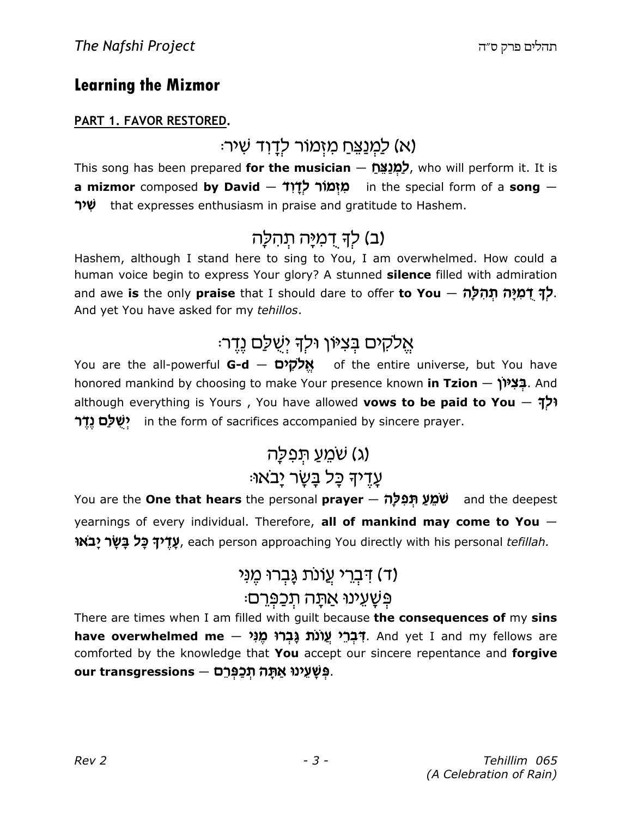### Learning the Mizmor

#### PART 1. FAVOR RESTORED.

(א) לַמְנַצֵּחַ מִזְמוֹר לְדָוִד שִׁיר<sup>ָ</sup>

This song has been prepared for the musician - לַמְנַצֵּח who will perform it. It is a **mizmor** composed **by David — מִיְמוֹר לְדָוֹד** in the special form of a song — שיר that expresses enthusiasm in praise and gratitude to Hashem.

# (ב) לִדְּ דְמִיַּה תְּהִלַּה

Hashem, although I stand here to sing to You, I am overwhelmed. How could a human voice begin to express Your glory? A stunned **silence** filled with admiration and awe **is** the only **praise** that I should dare to offer **to You**  $-$  **לְךְ דָמִיָּה תְהִלָּה .** And yet You have asked for my tehillos.

### אֵלקים בִּצִיּוֹן וּלִדְ יִשָּׁלַַם נֵדֵר:

You are the all-powerful **G-d** — אֱ**לֹקִים — You are the all-powerful <b>G-d** — אֱלֹ honored mankind by choosing to make Your presence known **in Tzion — بَ<sup>دِيدِ</sup>( And** although everything is Yours, You have allowed vows to be paid to You  $\frac{4}{1}$ r ישלם נדר in the form of sacrifices accompanied by sincere prayer.

# (ג) שׁמֵעַ תּפלַה ּעֲדֵיהָ כַּל בַּשֲׂר יַבאוּ

You are the **One that hears** the personal **prayer – שֹׁמֵעַ תְּפִלָּה**<br>מ yearnings of every individual. Therefore, all of mankind may come to You  $-$ **ָעֲדֵיךְ כֵּל בָּשֶׂר יָבֹאוּ ),** each person approaching You directly with his personal tefillah.

# (ד) דִּבְרֵי עֲוֹנת גַּבְרוּ מֵנִי ּפְשָׁעִ**ינוּ אַתָּה תִכַפְּרֵם**

There are times when I am filled with guilt because the consequences of my sins have overwhelmed me – לְּבְרֵי עֲוֹנֹת גָּבְרוּ מֶגִי, And yet I and my fellows are comforted by the knowledge that You accept our sincere repentance and forgive our transgressions — פִּשַּׁעֵינוּ אֲתָּה תְכַפְּרֶם.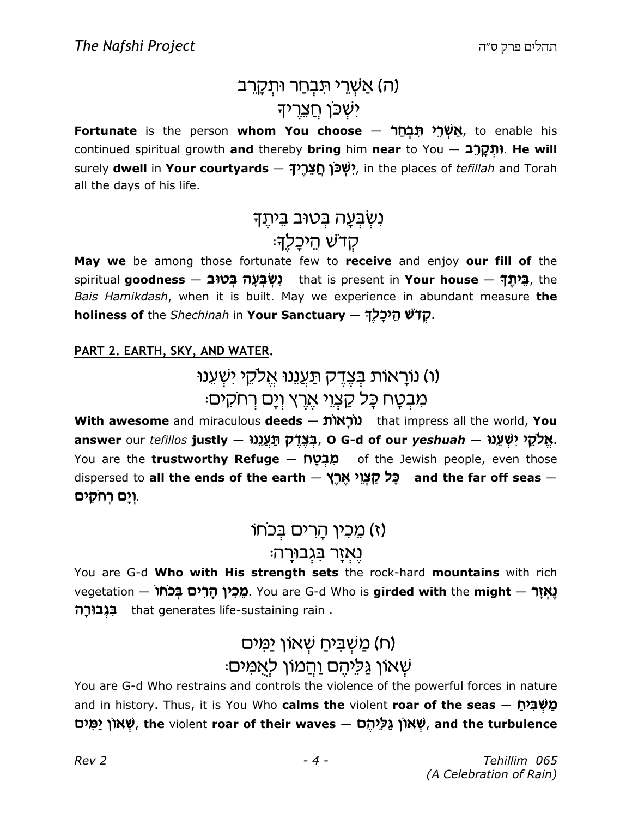# (ה) אַשְׁרֵי תִּבְחַר וּתְקָרֵב יֹשָׁכֹּן חַצֵרִיה

<mark>Fortunate</mark> is the person **whom You choose — אֲשְׁרֵי תִּבְחַר,** to enable his continued spiritual growth and thereby bring him near to You  $-$  תַּקֲרֶב (return). He will surely **dwell** in **Your courtyards — יִשְׁכֹּן חֲצֵרֶי,** in the places of *tefillah* and Torah all the days of his life.

> נִשְׁבְעָה בְּטוּב בֵּיתֶךָ ּקִדשׁ הֵיכָלֶךָ

May we be among those fortunate few to receive and enjoy our fill of the spiritual **goodness — בִּיׁתֶךְ c**hat is present in **Your house — בֵּיתֶךְ** the Bais Hamikdash, when it is built. May we experience in abundant measure the holiness of the Shechinah in Your Sanctuary – קדשׁ הֵיכַלַךָ

#### PART 2. EARTH, SKY, AND WATER.

### ו) נוראות בִּצְדֵק תַּעֲנֵנוּ אֵלקֵי יִשְׁעֲנוּ ( ּמְבִטַח כַּל קַצְוֵי אֵרֵץ וְיַם רְחקִים

With awesome and miraculous deeds – נוֹרְאוֹת that impress all the world, You answer our  $t$ efillos justly — בְּצֶדֶק תַּעֲנֵנוּ, O G-d of our  $y$ eshuah — אֱלֹקֵי, You are the **trustworthy Refuge — מִבְטָח** of the Jewish people, even those dispersed to all the ends of the earth – כַּל קַצְוֵי אֱרֵץ and the far off seas – **וְיָם רְחֹקִים**.

### ו) מכין הרים בכחו

### נֵא**ָזָר בּגְבוּרַה**

You are G-d Who with His strength sets the rock-hard mountains with rich vegetation — מְּכִין הָרִים בְּכֹחוֹ . You are G-d Who is **girded with** the **might** — גָאְזָר chat generates life-sustaining rain .<br>ב**ְגְבוּרְה** that generates life-sustaining rain .

### <u>משביח שאון י</u>מים) ( שאון <u>גַּלְיהֵם וַהַ</u>מוֹן לִאֲמִים:

You are G-d Who restrains and controls the violence of the powerful forces in nature and in history. Thus, it is You Who **calms the** violent **roar of the seas** — מַשְׁבִּיתַ שְׁאוֹן יַמִּים , the violent roar of their waves — שְׁאוֹן  $\mu$  and the turbulence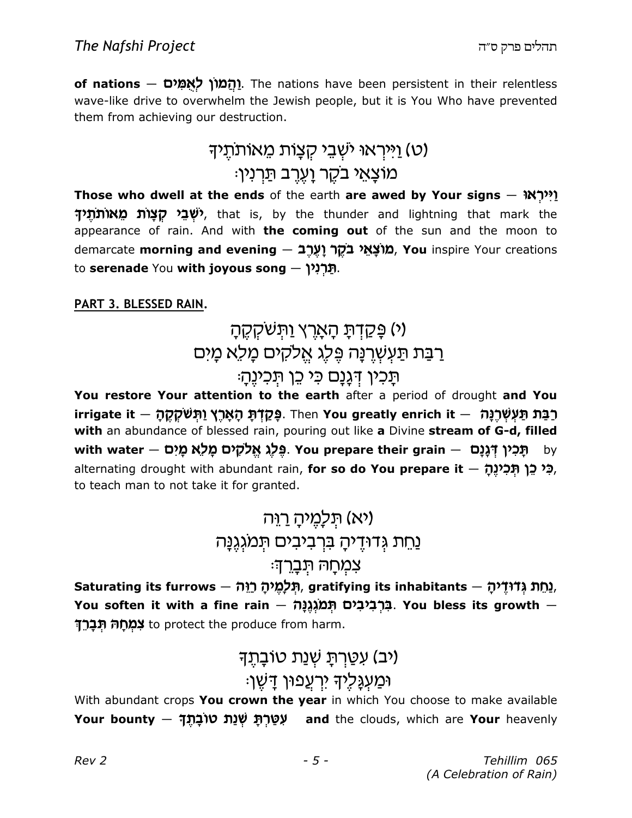o**f nations — יַהֲמוֹן לְאֻמִּים.** The nations have been persistent in their relentless wave-like drive to overwhelm the Jewish people, but it is You Who have prevented them from achieving our destruction.

# (ט) <u>ו</u>ייראוּ ישִׁבֵי קִצָּוֹת מֵאוֹתתֵיך :מוצָאֵי בקֵר וַעֵרֵב תַּרְנִין

Those who dwell at the ends of the earth are awed by Your signs  $\frac{1}{2}$ ! **יֹשְׁבֵי קַצָּוֹת מֵאוֹתוֹתֵיד**), that is, by the thunder and lightning that mark the appearance of rain. And with the coming out of the sun and the moon to demarcate morning and evening – מוֹצַאֵי בֹקָר וַעֲרָב
(You inspire Your creations to **serenade** You **with joyous song — תַּרְיִנִין**.

#### PART 3. BLESSED RAIN.

# <u>(י) פַּקַדְתַּ הָאַרץ וַתְּשַׁקְקָה</u> רַבַּת תַּעְשָׁרֵנַּה פֵּלֶג אֱלֹקִים מַלֵּא מַיִּם ּתַּכִין דְּגַנַם כִּי כֵן תִּכְיוֶהָ׃

You restore Your attention to the earth after a period of drought and You irrigate it — רַבַּת תַּעְשְׁרֵנֵה (Ihen You greatly enrich it – פְּקַדֹּתַ הָאֲרֶץ וַתְּשִׁקְקָה with an abundance of blessed rain, pouring out like a Divine stream of G-d, filled with water — פֶּלֶג אֱלֹקָים מֲלַא מָיִם with water – מֻּבִין דְּנֶנָם alternating drought with abundant rain, **for so do You prepare it** — **כִּי כְּן תְּכִינֶהְ** to teach man to not take it for granted.

# <u>ועלמיה רוה)</u> (יא נחת גדודיה ברביבים תמגגנה צמחה תברד:

Saturating its furrows — תֵּלְמֵיהָ הַיָּה, gratifying its inhabitants — נֵחֵת גְדוּדֵיהָ. You soften it with a fine rain — בִּרְבִיבִים תְּמֹגְנֶנֶּה. You bless its growth — <mark>רְבָרֵך</mark> to protect the produce from harm.

# (יב) עַטַרתּ שָׁנַת טוֹבַתֵּד וּמַעְגַּלֵיךָ יִרְעֲפוּן דַשֵּׁן:

With abundant crops You crown the year in which You choose to make available Your bounty – עְטַרְתָּ שְׁנַת טוֹבָתֶךָ and the clouds, which are Your heavenly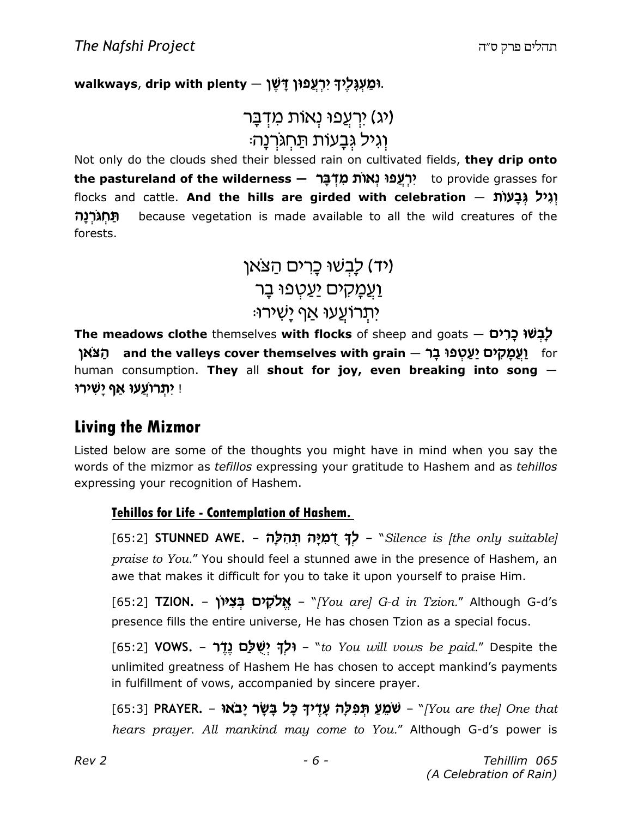#### walkways, drip with plenty – יִרְעֲפוּן דָּשֶׁן.

```
וֹג) יִרְעֲפוּ נְאוֹת מִדְבָּר
 וגיל גִּבַעוֹת תַּחְגּרְנַה<sup>ָ</sup>
```
Not only do the clouds shed their blessed rain on cultivated fields, they drip onto the **pastureland of the wilderness — יִרְעֲפוּ נְאוֹת מִדְּבָּר?** to provide grasses for flocks and cattle. **And the hills are girded with celebration** — יְגִיל גְּבָעוֹת **תחגרנה** because vegetation is made available to all the wild creatures of the forests.

> (יד) לַבְשׁוּ כָרים הַצֹּאן <u>וַעֲמַקִים יַעַטְ</u>פוּ בַר :יתרועעו אף <u>י</u>שירו

The meadows clothe themselves with flocks of sheep and goats — לְבְשׁוּ כְרִים ּתַּצֹּאן and the valleys cover themselves with grain — תַּצֹּאן human consumption. They all shout for joy, even breaking into song  $-$ יִ יִתְרוֹעֲעוּ אַף יָשִׁירוּ

### Living the Mizmor

Listed below are some of the thoughts you might have in mind when you say the words of the mizmor as *tefillos* expressing your gratitude to Hashem and as *tehillos* expressing your recognition of Hashem.

#### Tehillos for Life - Contemplation of Hashem.

[65:2] **STUNNED AWE. – לְךְ דָמְיָה תְהִלָּה – S**ilence is [the only suitable] praise to You." You should feel a stunned awe in the presence of Hashem, an awe that makes it difficult for you to take it upon yourself to praise Him.

[65:2] **TZION. – אֱלֹקִים בְּצִיּוֹן - "**[You are] G-d in Tzion." Although G-d's presence fills the entire universe, He has chosen Tzion as a special focus.

 $[65:2]$  VOWS. – וּלָךְ יִשְׁלַם נֵדֶר (155:2) VOWS. –  $*$  "to You will vows be paid." Despite the unlimited greatness of Hashem He has chosen to accept mankind's payments in fulfillment of vows, accompanied by sincere prayer.

[65:3] PRAYER. – שֹמֵעַ תְּפִלָּה עָדֶיךָ כָּל בָּשָׂר יָבֹאוּ (fos:3] PRAYER. – שׂמֵעַ תִּפִלָּה עָדֶיךָ hears prayer. All mankind may come to You." Although G-d's power is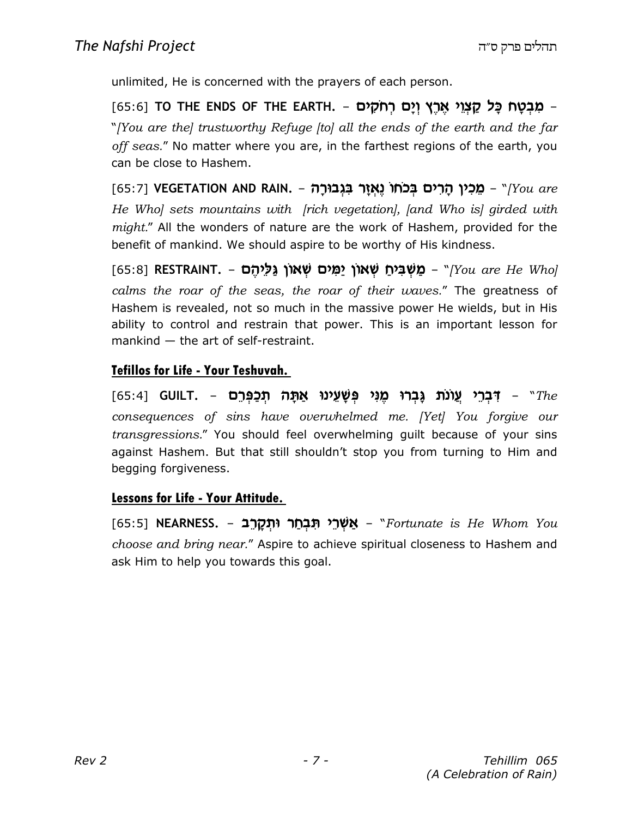unlimited, He is concerned with the prayers of each person.

ַ מִבְטָח כָּל קַצְוֵי אֶרֶץ וְיָם רְחֹקִים – .G5:6] TO THE ENDS OF THE EARTH (65:6 "[You are the] trustworthy Refuge [to] all the ends of the earth and the far off seas." No matter where you are, in the farthest regions of the earth, you can be close to Hashem.

[65:7] **VEGETATION AND RAIN. – מֵכִין הָרִים בְּכֹחוֹ נֶאְזָר בִּגְבוּרָה - Vegetation AND RAIN.** He Who] sets mountains with [rich vegetation], [and Who is] girded with might." All the wonders of nature are the work of Hashem, provided for the benefit of mankind. We should aspire to be worthy of His kindness.

[65:8] RESTRAINT. – מַשְׁבִּיחַ שְׁאוֹן יַמִּים שְׁאוֹן גַּלְיהֶם [65:8] calms the roar of the seas, the roar of their waves." The greatness of Hashem is revealed, not so much in the massive power He wields, but in His ability to control and restrain that power. This is an important lesson for mankind — the art of self-restraint.

#### Tefillos for Life - Your Teshuvah.

[65:4] GUILT. – רֹבְרֵי עֲוֹנֹת גָּבְרוּ מֶנִי פְּשָׁעֵינוּ אַתָּה תְּכַפְּרֵם – G5:4] consequences of sins have overwhelmed me. [Yet] You forgive our transgressions." You should feel overwhelming guilt because of your sins against Hashem. But that still shouldn't stop you from turning to Him and begging forgiveness.

#### Lessons for Life - Your Attitude.

[65:5] **NEARNESS. – אַשְׁרֵי תִּבְחַר וּתְקָרֵב**ּ, NEARNESS – ה choose and bring near." Aspire to achieve spiritual closeness to Hashem and ask Him to help you towards this goal.